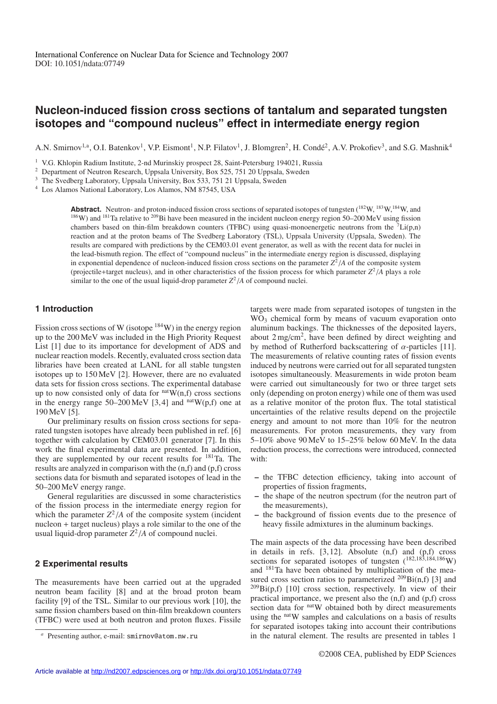# **Nucleon-induced fission cross sections of tantalum and separated tungsten isotopes and "compound nucleus" effect in intermediate energy region**

A.N. Smirnov<sup>1,a</sup>, O.I. Batenkov<sup>1</sup>, V.P. Eismont<sup>1</sup>, N.P. Filatov<sup>1</sup>, J. Blomgren<sup>2</sup>, H. Condé<sup>2</sup>, A.V. Prokofiev<sup>3</sup>, and S.G. Mashnik<sup>4</sup>

<sup>1</sup> V.G. Khlopin Radium Institute, 2-nd Murinskiy prospect 28, Saint-Petersburg 194021, Russia

<sup>2</sup> Department of Neutron Research, Uppsala University, Box 525, 751 20 Uppsala, Sweden

<sup>3</sup> The Svedberg Laboratory, Uppsala University, Box 533, 751 21 Uppsala, Sweden

<sup>4</sup> Los Alamos National Laboratory, Los Alamos, NM 87545, USA

Abstract. Neutron- and proton-induced fission cross sections of separated isotopes of tungsten (<sup>182</sup>W, <sup>183</sup>W,<sup>184</sup>W, and  $186W$ ) and  $181$ Ta relative to  $209B$ i have been measured in the incident nucleon energy region 50–200 MeV using fission chambers based on thin-film breakdown counters (TFBC) using quasi-monoenergetic neutrons from the  ${}^{7}$ Li(p,n) reaction and at the proton beams of The Svedberg Laboratory (TSL), Uppsala University (Uppsala, Sweden). The results are compared with predictions by the CEM03.01 event generator, as well as with the recent data for nuclei in the lead-bismuth region. The effect of "compound nucleus" in the intermediate energy region is discussed, displaying in exponential dependence of nucleon-induced fission cross sections on the parameter  $Z^2/A$  of the composite system (projectile+target nucleus), and in other characteristics of the fission process for which parameter  $Z^2/A$  plays a role similar to the one of the usual liquid-drop parameter  $Z^2/A$  of compound nuclei.

### **1 Introduction**

Fission cross sections of W (isotope  $^{184}$ W) in the energy region up to the 200 MeV was included in the High Priority Request List [1] due to its importance for development of ADS and nuclear reaction models. Recently, evaluated cross section data libraries have been created at LANL for all stable tungsten isotopes up to 150 MeV [2]. However, there are no evaluated data sets for fission cross sections. The experimental database up to now consisted only of data for  $n^{\text{nat}}\hat{W}(n,f)$  cross sections in the energy range  $50-200 \text{ MeV}$  [3,4] and  $\text{natW}(p,f)$  one at 190 MeV [5].

Our preliminary results on fission cross sections for separated tungsten isotopes have already been published in ref. [6] together with calculation by CEM03.01 generator [7]. In this work the final experimental data are presented. In addition, they are supplemented by our recent results for 181Ta. The results are analyzed in comparison with the (n,f) and (p,f) cross sections data for bismuth and separated isotopes of lead in the 50–200 MeV energy range.

General regularities are discussed in some characteristics of the fission process in the intermediate energy region for which the parameter  $Z^2/A$  of the composite system (incident nucleon + target nucleus) plays a role similar to the one of the usual liquid-drop parameter  $Z^2/A$  of compound nuclei.

#### **2 Experimental results**

The measurements have been carried out at the upgraded neutron beam facility [8] and at the broad proton beam facility [9] of the TSL. Similar to our previous work [10], the same fission chambers based on thin-film breakdown counters (TFBC) were used at both neutron and proton fluxes. Fissile targets were made from separated isotopes of tungsten in the WO<sub>3</sub> chemical form by means of vacuum evaporation onto aluminum backings. The thicknesses of the deposited layers, about 2 mg/cm2, have been defined by direct weighting and by method of Rutherford backscattering of  $\alpha$ -particles [11]. The measurements of relative counting rates of fission events induced by neutrons were carried out for all separated tungsten isotopes simultaneously. Measurements in wide proton beam were carried out simultaneously for two or three target sets only (depending on proton energy) while one of them was used as a relative monitor of the proton flux. The total statistical uncertainties of the relative results depend on the projectile energy and amount to not more than 10% for the neutron measurements. For proton measurements, they vary from 5–10% above 90 MeV to 15–25% below 60 MeV. In the data reduction process, the corrections were introduced, connected with:

- **–** the TFBC detection efficiency, taking into account of properties of fission fragments,
- **–** the shape of the neutron spectrum (for the neutron part of the measurements),
- **–** the background of fission events due to the presence of heavy fissile admixtures in the aluminum backings.

The main aspects of the data processing have been described in details in refs. [3, 12]. Absolute (n,f) and (p,f) cross sections for separated isotopes of tungsten  $(^{182,183,184,186}W)$ and 181Ta have been obtained by multiplication of the measured cross section ratios to parameterized  $^{209}$ Bi(n,f) [3] and  $^{209}$ Bi(p,f) [10] cross section, respectively. In view of their practical importance, we present also the (n,f) and (p,f) cross section data for <sup>nat</sup>W obtained both by direct measurements using the natW samples and calculations on a basis of results for separated isotopes taking into account their contributions in the natural element. The results are presented in tables 1

*<sup>a</sup>* Presenting author, e-mail: smirnov@atom.nw.ru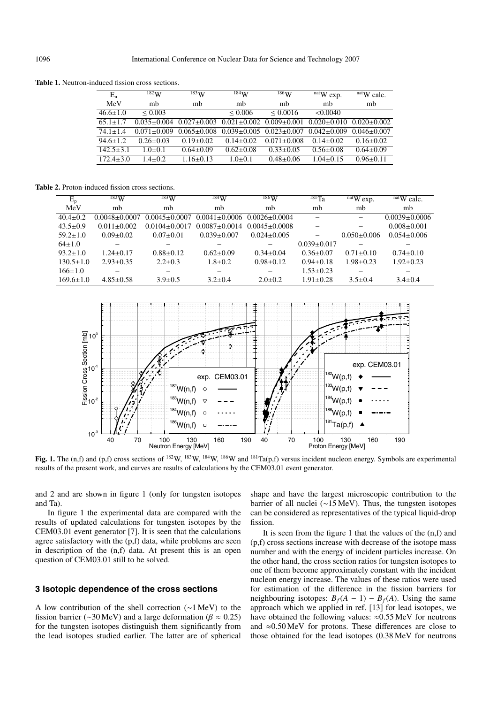**Table 1.** Neutron-induced fission cross sections.

| $E_n$          | 182W            | $^{183}\mathrm{W}$ | 184W              | $186\mathrm{W}$   | $natW$ exp.     | $natW$ calc.    |
|----------------|-----------------|--------------------|-------------------|-------------------|-----------------|-----------------|
| MeV            | mb              | mb                 | mb                | mb                | mb              | mb              |
| $46.6 \pm 1.0$ | ${}_{0.003}$    |                    | < 0.006           | < 0.0016          | < 0.0040        |                 |
| $65.1 + 1.7$   | $0.035 + 0.004$ | $0.027 \pm 0.003$  | $0.021 \pm 0.002$ | $0.009 \pm 0.001$ | $0.020 + 0.010$ | $0.020 + 0.002$ |
| $74.1 + 1.4$   | $0.071 + 0.009$ | $0.065 \pm 0.008$  | $0.039 \pm 0.005$ | $0.023 + 0.007$   | $0.042 + 0.009$ | $0.046 + 0.007$ |
| $94.6 \pm 1.2$ | $0.26 + 0.03$   | $0.19 + 0.02$      | $0.14 + 0.02$     | $0.071 + 0.008$   | $0.14 + 0.02$   | $0.16 \pm 0.02$ |
| $142.5 + 3.1$  | $1.0 + 0.1$     | $0.64 + 0.09$      | $0.62 \pm 0.08$   | $0.33 + 0.05$     | $0.56 \pm 0.08$ | $0.64 \pm 0.09$ |
| $172.4 + 3.0$  | $1.4 + 0.2$     | $1.16 + 0.13$      | $1.0 + 0.1$       | $0.48 + 0.06$     | $1.04 + 0.15$   | $0.96 + 0.11$   |

**Table 2.** Proton-induced fission cross sections.

| $E_{p}$         | $^{182}$ W          | $\overline{^{183}W}$ | 184W                | $^{186}\mathrm{W}$  | $^{181}$ Ta       | $n$ at W $exp$ . | $\mu$ <sup>nat</sup> W calc. |
|-----------------|---------------------|----------------------|---------------------|---------------------|-------------------|------------------|------------------------------|
| MeV             | mb                  | mb                   | mb                  | mb                  | mb                | mb               | mb                           |
| $40.4 \pm 0.2$  | $0.0048 \pm 0.0007$ | $0.0045 \pm 0.0007$  | $0.0041 \pm 0.0006$ | $0.0026 \pm 0.0004$ | -                 | -                | $0.0039 + 0.0006$            |
| $43.5 \pm 0.9$  | $0.011 \pm 0.002$   | $0.0104 + 0.0017$    | $0.0087 \pm 0.0014$ | $0.0045 + 0.0008$   |                   |                  | $0.008 \pm 0.001$            |
| $59.2 \pm 1.0$  | $0.09 \pm 0.02$     | $0.07 \pm 0.01$      | $0.039 \pm 0.007$   | $0.024 \pm 0.005$   |                   | $0.050\pm0.006$  | $0.054 \pm 0.006$            |
| $64 \pm 1.0$    |                     |                      |                     |                     | $0.039 \pm 0.017$ |                  |                              |
| $93.2 \pm 1.0$  | $1.24 \pm 0.17$     | $0.88 \pm 0.12$      | $0.62 \pm 0.09$     | $0.34 \pm 0.04$     | $0.36 \pm 0.07$   | $0.71 \pm 0.10$  | $0.74 \pm 0.10$              |
| $130.5 \pm 1.0$ | $2.93 \pm 0.35$     | $2.2 \pm 0.3$        | $1.8 + 0.2$         | $0.98 \pm 0.12$     | $0.94 \pm 0.18$   | $1.98 \pm 0.23$  | $1.92 \pm 0.23$              |
| $166 \pm 1.0$   |                     |                      |                     |                     | $1.53 \pm 0.23$   |                  |                              |
| $169.6 \pm 1.0$ | $4.85 \pm 0.58$     | $3.9 \pm 0.5$        | $3.2 \pm 0.4$       | $2.0 \pm 0.2$       | $1.91 \pm 0.28$   | $3.5 \pm 0.4$    | $3.4 \pm 0.4$                |



Fig. 1. The (n,f) and (p,f) cross sections of <sup>182</sup>W, <sup>183</sup>W, <sup>184</sup>W, <sup>186</sup>W and <sup>181</sup>Ta(p,f) versus incident nucleon energy. Symbols are experimental results of the present work, and curves are results of calculations by the CEM03.01 event generator.

and 2 and are shown in figure 1 (only for tungsten isotopes and Ta).

In figure 1 the experimental data are compared with the results of updated calculations for tungsten isotopes by the CEM03.01 event generator [7]. It is seen that the calculations agree satisfactory with the (p,f) data, while problems are seen in description of the (n,f) data. At present this is an open question of CEM03.01 still to be solved.

### **3 Isotopic dependence of the cross sections**

A low contribution of the shell correction (∼1 MeV) to the fission barrier (∼30 MeV) and a large deformation ( $\beta \approx 0.25$ ) for the tungsten isotopes distinguish them significantly from the lead isotopes studied earlier. The latter are of spherical

shape and have the largest microscopic contribution to the barrier of all nuclei (∼15 MeV). Thus, the tungsten isotopes can be considered as representatives of the typical liquid-drop fission.

It is seen from the figure 1 that the values of the (n,f) and (p,f) cross sections increase with decrease of the isotope mass number and with the energy of incident particles increase. On the other hand, the cross section ratios for tungsten isotopes to one of them become approximately constant with the incident nucleon energy increase. The values of these ratios were used for estimation of the difference in the fission barriers for neighbouring isotopes:  $B_f(A - 1) - B_f(A)$ . Using the same approach which we applied in ref. [13] for lead isotopes, we have obtained the following values:  $\approx 0.55$  MeV for neutrons and  $\approx 0.50 \,\text{MeV}$  for protons. These differences are close to those obtained for the lead isotopes (0.38 MeV for neutrons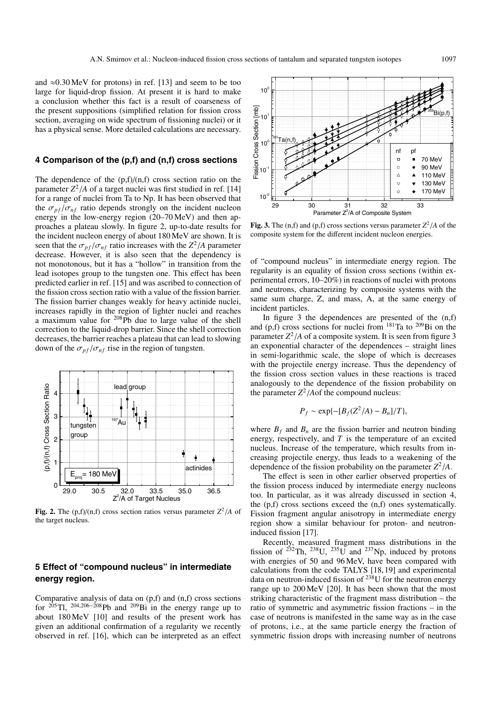and  $\approx 0.30 \,\text{MeV}$  for protons) in ref. [13] and seem to be too large for liquid-drop fission. At present it is hard to make a conclusion whether this fact is a result of coarseness of the present suppositions (simplified relation for fission cross section, averaging on wide spectrum of fissioning nuclei) or it has a physical sense. More detailed calculations are necessary.

#### **4 Comparison of the (p,f) and (n,f) cross sections**

The dependence of the  $(p,f)/(n,f)$  cross section ratio on the parameter  $Z^2/A$  of a target nuclei was first studied in ref. [14] for a range of nuclei from Ta to Np. It has been observed that the  $\sigma_{\textit{nf}}/\sigma_{\textit{nf}}$  ratio depends strongly on the incident nucleon energy in the low-energy region (20–70 MeV) and then approaches a plateau slowly. In figure 2, up-to-date results for the incident nucleon energy of about 180 MeV are shown. It is seen that the  $\sigma_{pf}/\sigma_{nf}$  ratio increases with the  $Z^2/A$  parameter decrease. However, it is also seen that the dependency is not monotonous, but it has a "hollow" in transition from the lead isotopes group to the tungsten one. This effect has been predicted earlier in ref. [15] and was ascribed to connection of the fission cross section ratio with a value of the fission barrier. The fission barrier changes weakly for heavy actinide nuclei, increases rapidly in the region of lighter nuclei and reaches a maximum value for 208Pb due to large value of the shell correction to the liquid-drop barrier. Since the shell correction decreases, the barrier reaches a plateau that can lead to slowing down of the  $\sigma_{pf}/\sigma_{nf}$  rise in the region of tungsten.



**Fig. 2.** The  $(p,f)/(n,f)$  cross section ratios versus parameter  $Z^2/A$  of the target nucleus.

## **5 Effect of "compound nucleus" in intermediate energy region.**

Comparative analysis of data on (p,f) and (n,f) cross sections for <sup>205</sup>Tl, <sup>204,206–208</sup>Pb and <sup>209</sup>Bi in the energy range up to about 180 MeV [10] and results of the present work has given an additional confirmation of a regularity we recently observed in ref. [16], which can be interpreted as an effect



**Fig. 3.** The (n,f) and (p,f) cross sections versus parameter  $Z^2/A$  of the composite system for the different incident nucleon energies.

of "compound nucleus" in intermediate energy region. The regularity is an equality of fission cross sections (within experimental errors, 10–20%) in reactions of nuclei with protons and neutrons, characterizing by composite systems with the same sum charge, Z, and mass, A, at the same energy of incident particles.

In figure 3 the dependences are presented of the  $(n,f)$ and  $(p,f)$  cross sections for nuclei from  $181$ Ta to  $209$ Bi on the parameter  $Z^2/A$  of a composite system. It is seen from figure 3 an exponential character of the dependences – straight lines in semi-logarithmic scale, the slope of which is decreases with the projectile energy increase. Thus the dependency of the fission cross section values in these reactions is traced analogously to the dependence of the fission probability on the parameter  $Z^2/$ *A*of the compound nucleus:

$$
P_f \sim \exp\{-[B_f(Z^2/A) - B_n]/T\},\
$$

where  $B_f$  and  $B_n$  are the fission barrier and neutron binding energy, respectively, and *T* is the temperature of an excited nucleus. Increase of the temperature, which results from increasing projectile energy, thus leads to a weakening of the dependence of the fission probability on the parameter  $Z^2/A$ .

The effect is seen in other earlier observed properties of the fission process induced by intermediate energy nucleons too. In particular, as it was already discussed in section 4, the (p,f) cross sections exceed the (n,f) ones systematically. Fission fragment angular anisotropy in intermediate energy region show a similar behaviour for proton- and neutroninduced fission [17].

Recently, measured fragment mass distributions in the fission of  $^{232}$ Th,  $^{238}$ U,  $^{235}$ U and  $^{237}$ Np, induced by protons with energies of 50 and 96 MeV, have been compared with calculations from the code TALYS [18, 19] and experimental data on neutron-induced fission of  $^{238}$ U for the neutron energy range up to 200 MeV [20]. It has been shown that the most striking characteristic of the fragment mass distribution – the ratio of symmetric and asymmetric fission fractions – in the case of neutrons is manifested in the same way as in the case of protons, i.e., at the same particle energy the fraction of symmetric fission drops with increasing number of neutrons